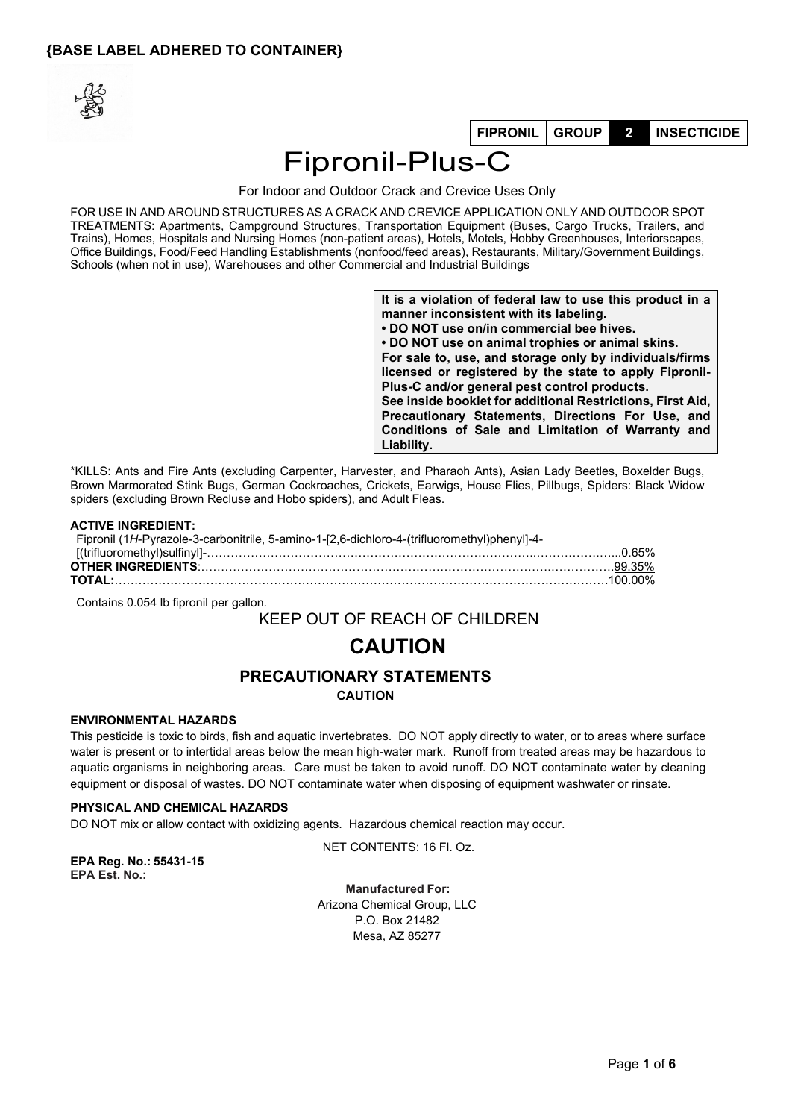



# Fipronil-Plus-C

For Indoor and Outdoor Crack and Crevice Uses Only

FOR USE IN AND AROUND STRUCTURES AS A CRACK AND CREVICE APPLICATION ONLY AND OUTDOOR SPOT TREATMENTS: Apartments, Campground Structures, Transportation Equipment (Buses, Cargo Trucks, Trailers, and Trains), Homes, Hospitals and Nursing Homes (non-patient areas), Hotels, Motels, Hobby Greenhouses, Interiorscapes, Office Buildings, Food/Feed Handling Establishments (nonfood/feed areas), Restaurants, Military/Government Buildings, Schools (when not in use), Warehouses and other Commercial and Industrial Buildings

> **It is a violation of federal law to use this product in a manner inconsistent with its labeling. • DO NOT use on/in commercial bee hives. • DO NOT use on animal trophies or animal skins. For sale to, use, and storage only by individuals/firms licensed or registered by the state to apply Fipronil-Plus-C and/or general pest control products. See inside booklet for additional Restrictions, First Aid, Precautionary Statements, Directions For Use, and Conditions of Sale and Limitation of Warranty and Liability.**

\*KILLS: Ants and Fire Ants (excluding Carpenter, Harvester, and Pharaoh Ants), Asian Lady Beetles, Boxelder Bugs, Brown Marmorated Stink Bugs, German Cockroaches, Crickets, Earwigs, House Flies, Pillbugs, Spiders: Black Widow spiders (excluding Brown Recluse and Hobo spiders), and Adult Fleas.

#### **ACTIVE INGREDIENT:**

| Fipronil (1H-Pyrazole-3-carbonitrile, 5-amino-1-[2,6-dichloro-4-(trifluoromethyl)phenyl]-4- |  |
|---------------------------------------------------------------------------------------------|--|
|                                                                                             |  |
|                                                                                             |  |
|                                                                                             |  |
|                                                                                             |  |

Contains 0.054 lb fipronil per gallon.

KEEP OUT OF REACH OF CHILDREN

### **CAUTION**

### **PRECAUTIONARY STATEMENTS**

**CAUTION**

#### **ENVIRONMENTAL HAZARDS**

This pesticide is toxic to birds, fish and aquatic invertebrates. DO NOT apply directly to water, or to areas where surface water is present or to intertidal areas below the mean high-water mark. Runoff from treated areas may be hazardous to aquatic organisms in neighboring areas. Care must be taken to avoid runoff. DO NOT contaminate water by cleaning equipment or disposal of wastes. DO NOT contaminate water when disposing of equipment washwater or rinsate.

#### **PHYSICAL AND CHEMICAL HAZARDS**

DO NOT mix or allow contact with oxidizing agents. Hazardous chemical reaction may occur.

NET CONTENTS: 16 Fl. Oz.

**EPA Reg. No.: 55431-15 EPA Est. No.:**

**Manufactured For:** Arizona Chemical Group, LLC P.O. Box 21482 Mesa, AZ 85277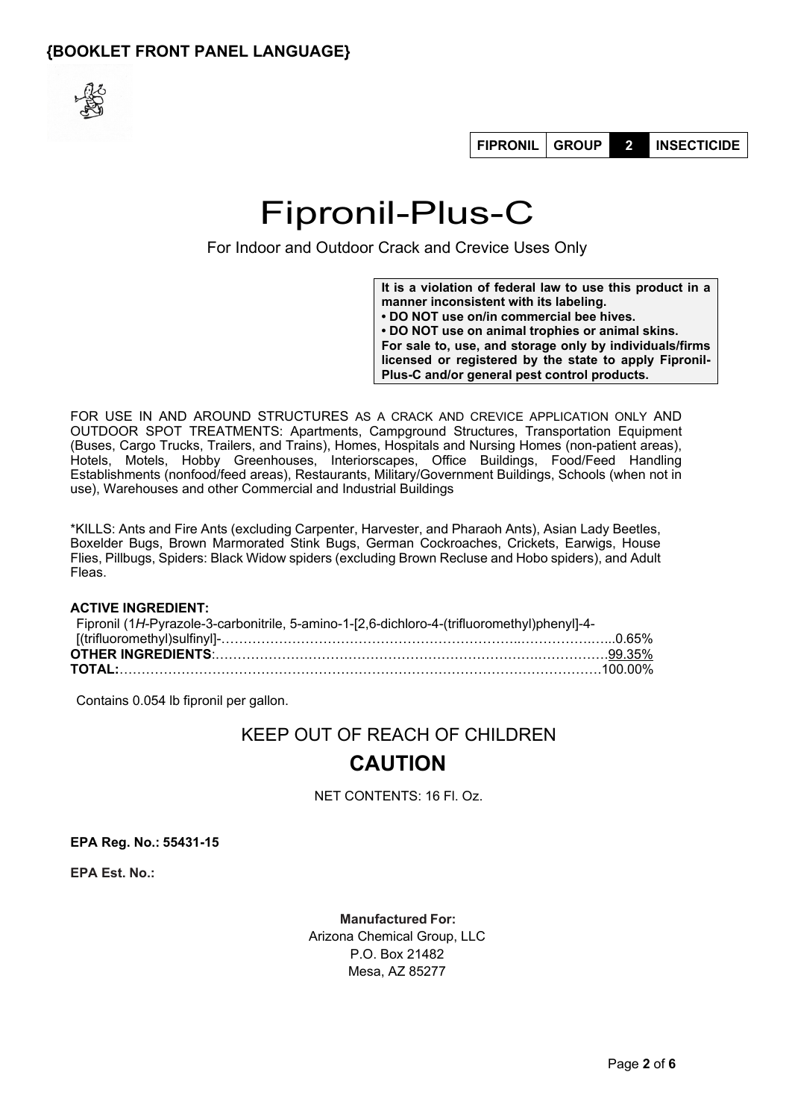

**FIPRONIL GROUP 2 INSECTICIDE**

# Fipronil-Plus-C

For Indoor and Outdoor Crack and Crevice Uses Only

**It is a violation of federal law to use this product in a manner inconsistent with its labeling. • DO NOT use on/in commercial bee hives. • DO NOT use on animal trophies or animal skins. For sale to, use, and storage only by individuals/firms licensed or registered by the state to apply Fipronil-Plus-C and/or general pest control products.**

FOR USE IN AND AROUND STRUCTURES AS A CRACK AND CREVICE APPLICATION ONLY AND OUTDOOR SPOT TREATMENTS: Apartments, Campground Structures, Transportation Equipment (Buses, Cargo Trucks, Trailers, and Trains), Homes, Hospitals and Nursing Homes (non-patient areas), Hotels, Motels, Hobby Greenhouses, Interiorscapes, Office Buildings, Food/Feed Handling Establishments (nonfood/feed areas), Restaurants, Military/Government Buildings, Schools (when not in use), Warehouses and other Commercial and Industrial Buildings

\*KILLS: Ants and Fire Ants (excluding Carpenter, Harvester, and Pharaoh Ants), Asian Lady Beetles, Boxelder Bugs, Brown Marmorated Stink Bugs, German Cockroaches, Crickets, Earwigs, House Flies, Pillbugs, Spiders: Black Widow spiders (excluding Brown Recluse and Hobo spiders), and Adult Fleas.

#### **ACTIVE INGREDIENT:**

| Fipronil (1H-Pyrazole-3-carbonitrile, 5-amino-1-[2,6-dichloro-4-(trifluoromethyl)phenyl]-4-                                        |  |
|------------------------------------------------------------------------------------------------------------------------------------|--|
| $[(\text{trifluorometry})\text{suffix},\dots,\dots,\dots,\dots,\dots,\dots,\dots,\dots,\dots,\dots,\dots,\dots,\dots,\dots,0.65\%$ |  |
|                                                                                                                                    |  |
|                                                                                                                                    |  |

Contains 0.054 lb fipronil per gallon.

#### KEEP OUT OF REACH OF CHILDREN

### **CAUTION**

NET CONTENTS: 16 Fl. Oz.

**EPA Reg. No.: 55431-15**

**EPA Est. No.:**

**Manufactured For:** Arizona Chemical Group, LLC P.O. Box 21482 Mesa, AZ 85277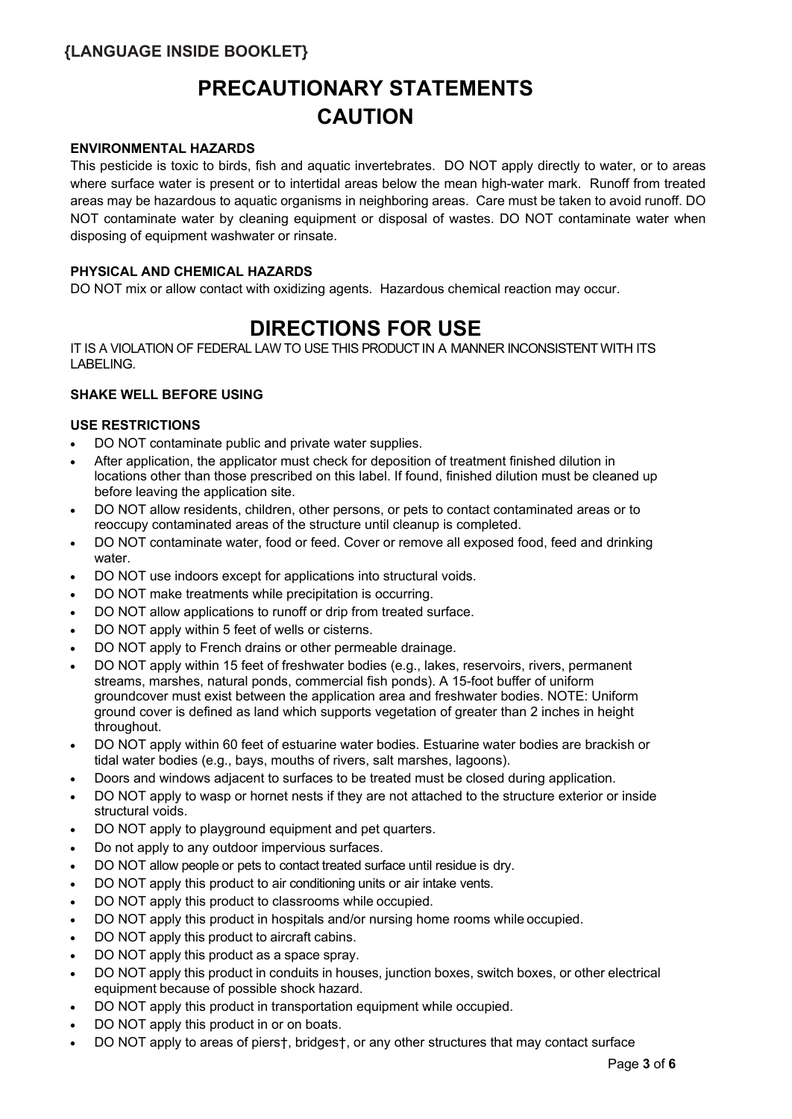#### **{LANGUAGE INSIDE BOOKLET}**

## **PRECAUTIONARY STATEMENTS CAUTION**

#### **ENVIRONMENTAL HAZARDS**

This pesticide is toxic to birds, fish and aquatic invertebrates. DO NOT apply directly to water, or to areas where surface water is present or to intertidal areas below the mean high-water mark. Runoff from treated areas may be hazardous to aquatic organisms in neighboring areas. Care must be taken to avoid runoff. DO NOT contaminate water by cleaning equipment or disposal of wastes. DO NOT contaminate water when disposing of equipment washwater or rinsate.

#### **PHYSICAL AND CHEMICAL HAZARDS**

DO NOT mix or allow contact with oxidizing agents. Hazardous chemical reaction may occur.

### **DIRECTIONS FOR USE**

IT IS A VIOLATION OF FEDERAL LAW TO USE THIS PRODUCT IN A MANNER INCONSISTENT WITH ITS LABELING.

#### **SHAKE WELL BEFORE USING**

#### **USE RESTRICTIONS**

- DO NOT contaminate public and private water supplies.
- After application, the applicator must check for deposition of treatment finished dilution in locations other than those prescribed on this label. If found, finished dilution must be cleaned up before leaving the application site.
- DO NOT allow residents, children, other persons, or pets to contact contaminated areas or to reoccupy contaminated areas of the structure until cleanup is completed.
- DO NOT contaminate water, food or feed. Cover or remove all exposed food, feed and drinking water.
- DO NOT use indoors except for applications into structural voids.
- DO NOT make treatments while precipitation is occurring.
- DO NOT allow applications to runoff or drip from treated surface.
- DO NOT apply within 5 feet of wells or cisterns.
- DO NOT apply to French drains or other permeable drainage.
- DO NOT apply within 15 feet of freshwater bodies (e.g., lakes, reservoirs, rivers, permanent streams, marshes, natural ponds, commercial fish ponds). A 15-foot buffer of uniform groundcover must exist between the application area and freshwater bodies. NOTE: Uniform ground cover is defined as land which supports vegetation of greater than 2 inches in height throughout.
- DO NOT apply within 60 feet of estuarine water bodies. Estuarine water bodies are brackish or tidal water bodies (e.g., bays, mouths of rivers, salt marshes, lagoons).
- Doors and windows adjacent to surfaces to be treated must be closed during application.
- DO NOT apply to wasp or hornet nests if they are not attached to the structure exterior or inside structural voids.
- DO NOT apply to playground equipment and pet quarters.
- Do not apply to any outdoor impervious surfaces.
- DO NOT allow people or pets to contact treated surface until residue is dry.
- DO NOT apply this product to air conditioning units or air intake vents.
- DO NOT apply this product to classrooms while occupied.
- DO NOT apply this product in hospitals and/or nursing home rooms while occupied.
- DO NOT apply this product to aircraft cabins.
- DO NOT apply this product as a space spray.
- DO NOT apply this product in conduits in houses, junction boxes, switch boxes, or other electrical equipment because of possible shock hazard.
- DO NOT apply this product in transportation equipment while occupied.
- DO NOT apply this product in or on boats.
- DO NOT apply to areas of piers†, bridges†, or any other structures that may contact surface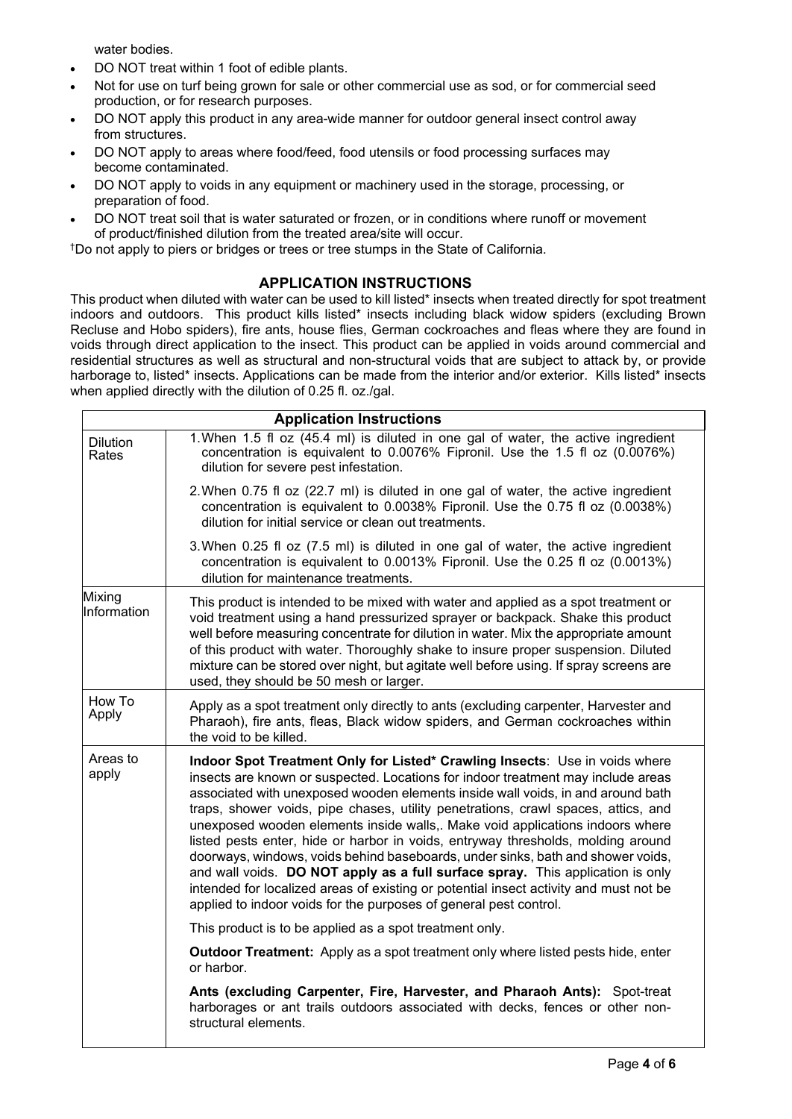water bodies.

- DO NOT treat within 1 foot of edible plants.
- Not for use on turf being grown for sale or other commercial use as sod, or for commercial seed production, or for research purposes.
- DO NOT apply this product in any area-wide manner for outdoor general insect control away from structures.
- DO NOT apply to areas where food/feed, food utensils or food processing surfaces may become contaminated.
- DO NOT apply to voids in any equipment or machinery used in the storage, processing, or preparation of food.
- DO NOT treat soil that is water saturated or frozen, or in conditions where runoff or movement of product/finished dilution from the treated area/site will occur.

†Do not apply to piers or bridges or trees or tree stumps in the State of California.

#### **APPLICATION INSTRUCTIONS**

This product when diluted with water can be used to kill listed\* insects when treated directly for spot treatment indoors and outdoors. This product kills listed\* insects including black widow spiders (excluding Brown Recluse and Hobo spiders), fire ants, house flies, German cockroaches and fleas where they are found in voids through direct application to the insect. This product can be applied in voids around commercial and residential structures as well as structural and non-structural voids that are subject to attack by, or provide harborage to, listed\* insects. Applications can be made from the interior and/or exterior. Kills listed\* insects when applied directly with the dilution of 0.25 fl. oz./gal.

| <b>Application Instructions</b> |                                                                                                                                                                                                                                                                                                                                                                                                                                                                                                                                                                                                                                                                                                                                                                                                                                                 |  |
|---------------------------------|-------------------------------------------------------------------------------------------------------------------------------------------------------------------------------------------------------------------------------------------------------------------------------------------------------------------------------------------------------------------------------------------------------------------------------------------------------------------------------------------------------------------------------------------------------------------------------------------------------------------------------------------------------------------------------------------------------------------------------------------------------------------------------------------------------------------------------------------------|--|
| <b>Dilution</b><br>Rates        | 1. When 1.5 fl oz (45.4 ml) is diluted in one gal of water, the active ingredient<br>concentration is equivalent to 0.0076% Fipronil. Use the 1.5 fl oz (0.0076%)<br>dilution for severe pest infestation.                                                                                                                                                                                                                                                                                                                                                                                                                                                                                                                                                                                                                                      |  |
|                                 | 2. When 0.75 fl oz (22.7 ml) is diluted in one gal of water, the active ingredient<br>concentration is equivalent to 0.0038% Fipronil. Use the 0.75 fl oz (0.0038%)<br>dilution for initial service or clean out treatments.                                                                                                                                                                                                                                                                                                                                                                                                                                                                                                                                                                                                                    |  |
|                                 | 3. When 0.25 fl oz (7.5 ml) is diluted in one gal of water, the active ingredient<br>concentration is equivalent to 0.0013% Fipronil. Use the 0.25 fl oz (0.0013%)<br>dilution for maintenance treatments.                                                                                                                                                                                                                                                                                                                                                                                                                                                                                                                                                                                                                                      |  |
| Mixing<br>Information           | This product is intended to be mixed with water and applied as a spot treatment or<br>void treatment using a hand pressurized sprayer or backpack. Shake this product<br>well before measuring concentrate for dilution in water. Mix the appropriate amount<br>of this product with water. Thoroughly shake to insure proper suspension. Diluted<br>mixture can be stored over night, but agitate well before using. If spray screens are<br>used, they should be 50 mesh or larger.                                                                                                                                                                                                                                                                                                                                                           |  |
| How To<br>Apply                 | Apply as a spot treatment only directly to ants (excluding carpenter, Harvester and<br>Pharaoh), fire ants, fleas, Black widow spiders, and German cockroaches within<br>the void to be killed.                                                                                                                                                                                                                                                                                                                                                                                                                                                                                                                                                                                                                                                 |  |
| Areas to<br>apply               | Indoor Spot Treatment Only for Listed* Crawling Insects: Use in voids where<br>insects are known or suspected. Locations for indoor treatment may include areas<br>associated with unexposed wooden elements inside wall voids, in and around bath<br>traps, shower voids, pipe chases, utility penetrations, crawl spaces, attics, and<br>unexposed wooden elements inside walls,. Make void applications indoors where<br>listed pests enter, hide or harbor in voids, entryway thresholds, molding around<br>doorways, windows, voids behind baseboards, under sinks, bath and shower voids,<br>and wall voids. DO NOT apply as a full surface spray. This application is only<br>intended for localized areas of existing or potential insect activity and must not be<br>applied to indoor voids for the purposes of general pest control. |  |
|                                 | This product is to be applied as a spot treatment only.                                                                                                                                                                                                                                                                                                                                                                                                                                                                                                                                                                                                                                                                                                                                                                                         |  |
|                                 | <b>Outdoor Treatment:</b> Apply as a spot treatment only where listed pests hide, enter<br>or harbor.                                                                                                                                                                                                                                                                                                                                                                                                                                                                                                                                                                                                                                                                                                                                           |  |
|                                 | Ants (excluding Carpenter, Fire, Harvester, and Pharaoh Ants): Spot-treat<br>harborages or ant trails outdoors associated with decks, fences or other non-<br>structural elements.                                                                                                                                                                                                                                                                                                                                                                                                                                                                                                                                                                                                                                                              |  |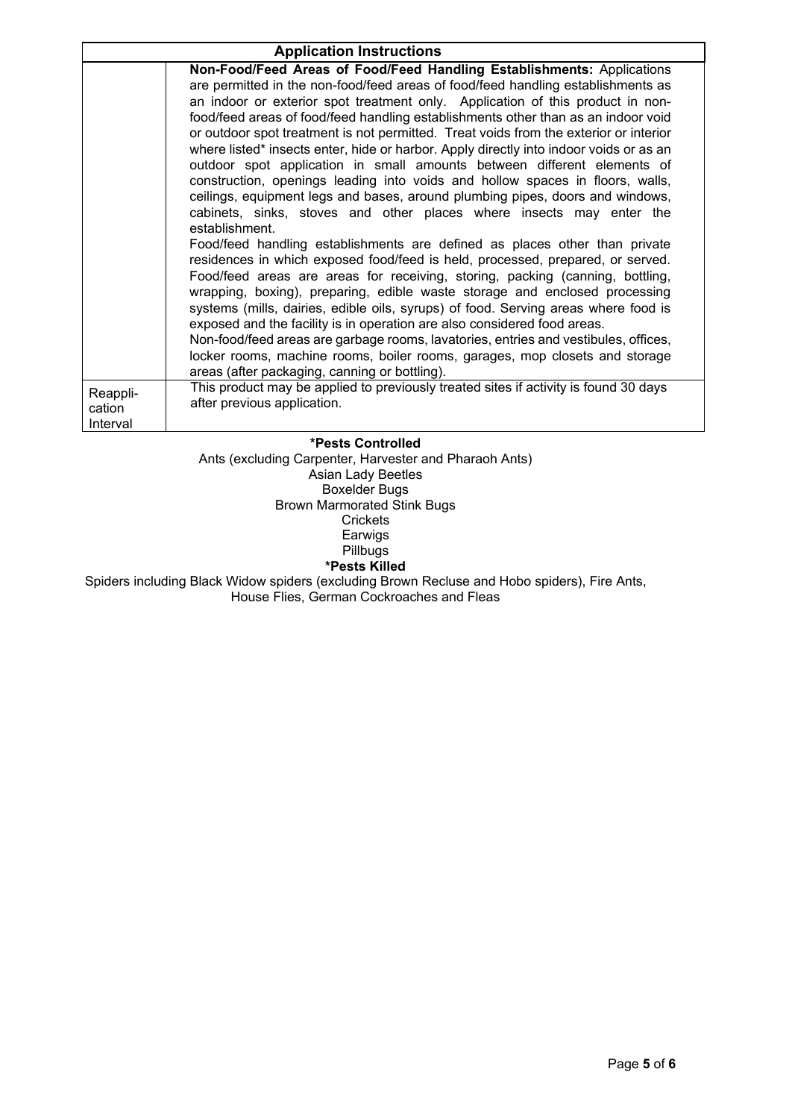| <b>Application Instructions</b> |                                                                                                                                                                                                                                                                                                                                                                                                                                                                                                                                                                                                                                                                                                                                                                                                                                                                                                                                                                                                                                                                                                                                                                                                                                                                                                                                                                                                                                                                                                                                                                                     |  |
|---------------------------------|-------------------------------------------------------------------------------------------------------------------------------------------------------------------------------------------------------------------------------------------------------------------------------------------------------------------------------------------------------------------------------------------------------------------------------------------------------------------------------------------------------------------------------------------------------------------------------------------------------------------------------------------------------------------------------------------------------------------------------------------------------------------------------------------------------------------------------------------------------------------------------------------------------------------------------------------------------------------------------------------------------------------------------------------------------------------------------------------------------------------------------------------------------------------------------------------------------------------------------------------------------------------------------------------------------------------------------------------------------------------------------------------------------------------------------------------------------------------------------------------------------------------------------------------------------------------------------------|--|
|                                 | Non-Food/Feed Areas of Food/Feed Handling Establishments: Applications<br>are permitted in the non-food/feed areas of food/feed handling establishments as<br>an indoor or exterior spot treatment only. Application of this product in non-<br>food/feed areas of food/feed handling establishments other than as an indoor void<br>or outdoor spot treatment is not permitted. Treat voids from the exterior or interior<br>where listed* insects enter, hide or harbor. Apply directly into indoor voids or as an<br>outdoor spot application in small amounts between different elements of<br>construction, openings leading into voids and hollow spaces in floors, walls,<br>ceilings, equipment legs and bases, around plumbing pipes, doors and windows,<br>cabinets, sinks, stoves and other places where insects may enter the<br>establishment.<br>Food/feed handling establishments are defined as places other than private<br>residences in which exposed food/feed is held, processed, prepared, or served.<br>Food/feed areas are areas for receiving, storing, packing (canning, bottling,<br>wrapping, boxing), preparing, edible waste storage and enclosed processing<br>systems (mills, dairies, edible oils, syrups) of food. Serving areas where food is<br>exposed and the facility is in operation are also considered food areas.<br>Non-food/feed areas are garbage rooms, lavatories, entries and vestibules, offices,<br>locker rooms, machine rooms, boiler rooms, garages, mop closets and storage<br>areas (after packaging, canning or bottling). |  |
| Reappli-<br>cation<br>Interval  | This product may be applied to previously treated sites if activity is found 30 days<br>after previous application.                                                                                                                                                                                                                                                                                                                                                                                                                                                                                                                                                                                                                                                                                                                                                                                                                                                                                                                                                                                                                                                                                                                                                                                                                                                                                                                                                                                                                                                                 |  |

**\*Pests Controlled**

Ants (excluding Carpenter, Harvester and Pharaoh Ants) Asian Lady Beetles Boxelder Bugs Brown Marmorated Stink Bugs **Crickets** Earwigs Pillbugs **\*Pests Killed**

Spiders including Black Widow spiders (excluding Brown Recluse and Hobo spiders), Fire Ants, House Flies, German Cockroaches and Fleas